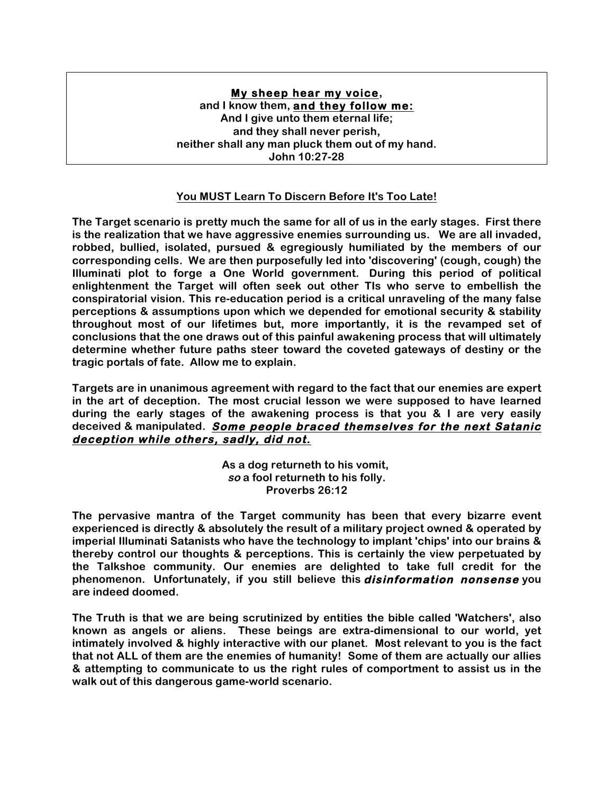## **My sheep hear my voice, and I know them, and they follow me: And I give unto them eternal life; and they shall never perish, neither shall any man pluck them out of my hand. John 10:27-28**

## **You MUST Learn To Discern Before It's Too Late!**

**The Target scenario is pretty much the same for all of us in the early stages. First there is the realization that we have aggressive enemies surrounding us. We are all invaded, robbed, bullied, isolated, pursued & egregiously humiliated by the members of our corresponding cells. We are then purposefully led into 'discovering' (cough, cough) the Illuminati plot to forge a One World government. During this period of political enlightenment the Target will often seek out other TIs who serve to embellish the conspiratorial vision. This re-education period is a critical unraveling of the many false perceptions & assumptions upon which we depended for emotional security & stability throughout most of our lifetimes but, more importantly, it is the revamped set of conclusions that the one draws out of this painful awakening process that will ultimately determine whether future paths steer toward the coveted gateways of destiny or the tragic portals of fate. Allow me to explain.**

**Targets are in unanimous agreement with regard to the fact that our enemies are expert in the art of deception. The most crucial lesson we were supposed to have learned during the early stages of the awakening process is that you & I are very easily deceived & manipulated. Some people braced themselves for the next Satanic deception while others, sadly, did not.** 

> **As a dog returneth to his vomit, so a fool returneth to his folly. Proverbs 26:12**

**The pervasive mantra of the Target community has been that every bizarre event experienced is directly & absolutely the result of a military project owned & operated by imperial Illuminati Satanists who have the technology to implant 'chips' into our brains & thereby control our thoughts & perceptions. This is certainly the view perpetuated by the Talkshoe community. Our enemies are delighted to take full credit for the phenomenon. Unfortunately, if you still believe this disinformation nonsense you are indeed doomed.**

**The Truth is that we are being scrutinized by entities the bible called 'Watchers', also known as angels or aliens. These beings are extra-dimensional to our world, yet intimately involved & highly interactive with our planet. Most relevant to you is the fact that not ALL of them are the enemies of humanity! Some of them are actually our allies & attempting to communicate to us the right rules of comportment to assist us in the walk out of this dangerous game-world scenario.**